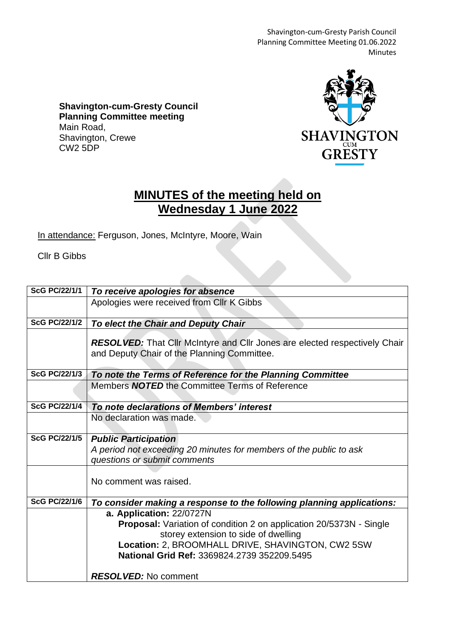Shavington-cum-Gresty Parish Council Planning Committee Meeting 01.06.2022 Minutes

**Shavington-cum-Gresty Council Planning Committee meeting** Main Road, Shavington, Crewe CW2 5DP



## **MINUTES of the meeting held on Wednesday 1 June 2022**

In attendance: Ferguson, Jones, McIntyre, Moore, Wain

 $\mathcal{L}$ 

Cllr B Gibbs

| <b>ScG PC/22/1/1</b> | To receive apologies for absence                                                                |
|----------------------|-------------------------------------------------------------------------------------------------|
|                      | Apologies were received from Cllr K Gibbs                                                       |
|                      |                                                                                                 |
| <b>ScG PC/22/1/2</b> | To elect the Chair and Deputy Chair                                                             |
|                      | <b>RESOLVED:</b> That Cllr McIntyre and Cllr Jones are elected respectively Chair               |
|                      | and Deputy Chair of the Planning Committee.                                                     |
|                      |                                                                                                 |
| <b>ScG PC/22/1/3</b> | To note the Terms of Reference for the Planning Committee                                       |
|                      | Members <b>NOTED</b> the Committee Terms of Reference                                           |
|                      |                                                                                                 |
| <b>ScG PC/22/1/4</b> | To note declarations of Members' interest                                                       |
|                      | No declaration was made.                                                                        |
|                      |                                                                                                 |
| <b>ScG PC/22/1/5</b> | <b>Public Participation</b>                                                                     |
|                      | A period not exceeding 20 minutes for members of the public to ask                              |
|                      | questions or submit comments                                                                    |
|                      |                                                                                                 |
|                      | No comment was raised.                                                                          |
| <b>ScG PC/22/1/6</b> |                                                                                                 |
|                      | To consider making a response to the following planning applications:                           |
|                      | a. Application: 22/0727N<br>Proposal: Variation of condition 2 on application 20/5373N - Single |
|                      | storey extension to side of dwelling                                                            |
|                      | Location: 2, BROOMHALL DRIVE, SHAVINGTON, CW2 5SW                                               |
|                      | National Grid Ref: 3369824.2739 352209.5495                                                     |
|                      |                                                                                                 |
|                      | <b>RESOLVED:</b> No comment                                                                     |
|                      |                                                                                                 |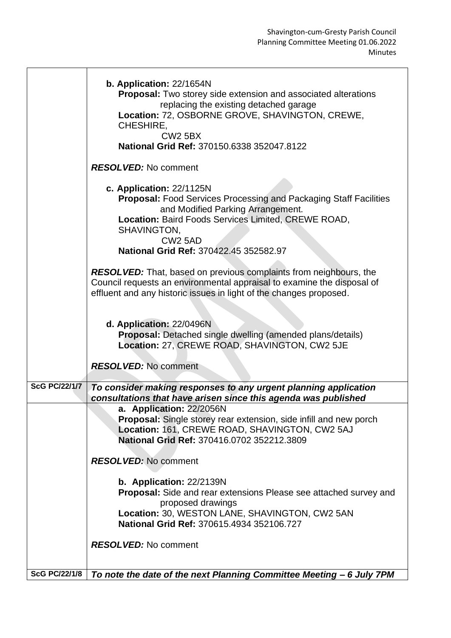| b. Application: 22/1654N<br>Proposal: Two storey side extension and associated alterations<br>replacing the existing detached garage<br>Location: 72, OSBORNE GROVE, SHAVINGTON, CREWE,<br>CHESHIRE,<br><b>CW2 5BX</b><br>National Grid Ref: 370150.6338 352047.8122             |  |
|----------------------------------------------------------------------------------------------------------------------------------------------------------------------------------------------------------------------------------------------------------------------------------|--|
| <b>RESOLVED:</b> No comment                                                                                                                                                                                                                                                      |  |
| c. Application: 22/1125N<br><b>Proposal:</b> Food Services Processing and Packaging Staff Facilities<br>and Modified Parking Arrangement.<br>Location: Baird Foods Services Limited, CREWE ROAD,<br>SHAVINGTON,<br>CW <sub>2</sub> 5AD<br>National Grid Ref: 370422.45 352582.97 |  |
| <b>RESOLVED:</b> That, based on previous complaints from neighbours, the                                                                                                                                                                                                         |  |
| Council requests an environmental appraisal to examine the disposal of<br>effluent and any historic issues in light of the changes proposed.                                                                                                                                     |  |
| d. Application: 22/0496N<br>Proposal: Detached single dwelling (amended plans/details)<br>Location: 27, CREWE ROAD, SHAVINGTON, CW2 5JE                                                                                                                                          |  |
| <b>RESOLVED:</b> No comment                                                                                                                                                                                                                                                      |  |
| <b>ScG PC/22/1/7</b><br>To consider making responses to any urgent planning application<br>consultations that have arisen since this agenda was published                                                                                                                        |  |
| a. Application: 22/2056N<br><b>Proposal:</b> Single storey rear extension, side infill and new porch<br>Location: 161, CREWE ROAD, SHAVINGTON, CW2 5AJ<br>National Grid Ref: 370416.0702 352212.3809                                                                             |  |
| <b>RESOLVED:</b> No comment                                                                                                                                                                                                                                                      |  |
| b. Application: 22/2139N<br><b>Proposal:</b> Side and rear extensions Please see attached survey and<br>proposed drawings<br>Location: 30, WESTON LANE, SHAVINGTON, CW2 5AN<br>National Grid Ref: 370615.4934 352106.727                                                         |  |
| <b>RESOLVED:</b> No comment                                                                                                                                                                                                                                                      |  |
| <b>ScG PC/22/1/8</b><br>To note the date of the next Planning Committee Meeting - 6 July 7PM                                                                                                                                                                                     |  |